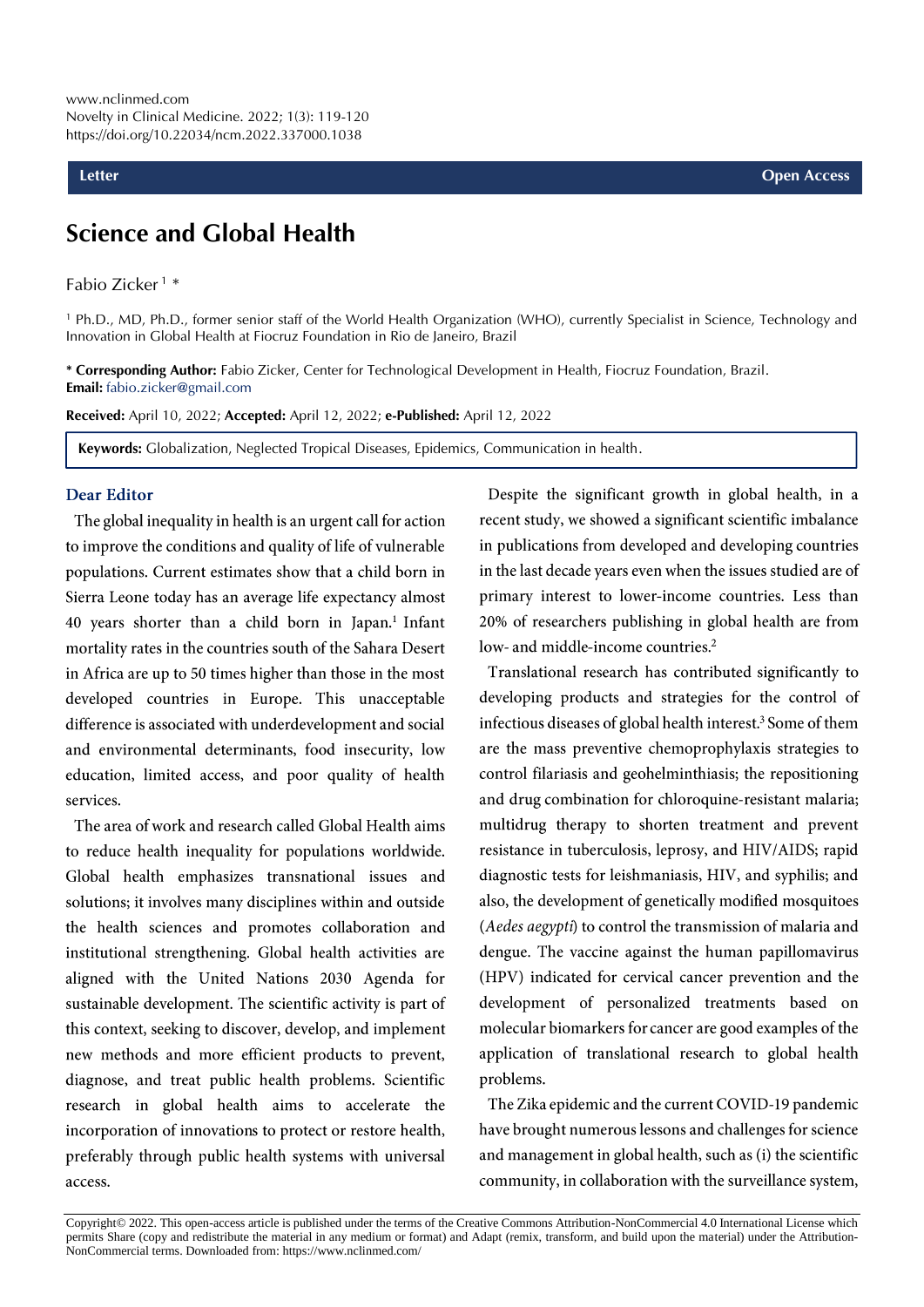## **Science and Global Health**

Fabio Zicker <sup>1</sup> \*

<sup>1</sup> Ph.D., MD, Ph.D., former senior staff of the World Health Organization (WHO), currently Specialist in Science, Technology and Innovation in Global Health at Fiocruz Foundation in Rio de Janeiro, Brazil

**\* Corresponding Author:** Fabio Zicker, Center for Technological Development in Health, Fiocruz Foundation, Brazil. **Email:** fabio.zicker@gmail.com

**Received:** April 10, 2022; **Accepted:** April 12, 2022; **e-Published:** April 12, 2022

**Keywords:** Globalization, Neglected Tropical Diseases, Epidemics, Communication in health.

#### **Dear Editor**

The global inequality in health is an urgent call for action to improve the conditions and quality of life of vulnerable populations. Current estimates show that a child born in Sierra Leone today has an average life expectancy almost 40 years shorter than a child born in Japan.<sup>1</sup> Infant mortality rates in the countries south of the Sahara Desert in Africa are up to 50 times higher than those in the most developed countries in Europe. This unacceptable difference is associated with underdevelopment and social and environmental determinants, food insecurity, low education, limited access, and poor quality of health services.

The area of work and research called Global Health aims to reduce health inequality for populations worldwide. Global health emphasizes transnational issues and solutions; it involves many disciplines within and outside the health sciences and promotes collaboration and institutional strengthening. Global health activities are aligned with the United Nations 2030 Agenda for sustainable development. The scientific activity is part of this context, seeking to discover, develop, and implement new methods and more efficient products to prevent, diagnose, and treat public health problems. Scientific research in global health aims to accelerate the incorporation of innovations to protect or restore health, preferably through public health systems with universal access.

Despite the significant growth in global health, in a recent study, we showed a significant scientific imbalance in publications from developed and developing countries in the last decade years even when the issues studied are of primary interest to lower-income countries. Less than 20% of researchers publishing in global health are from low- and middle-income countries.<sup>2</sup>

Translational research has contributed significantly to developing products and strategies for the control of infectious diseases of global health interest.<sup>3</sup> Some of them are the mass preventive chemoprophylaxis strategies to control filariasis and geohelminthiasis; the repositioning and drug combination for chloroquine-resistant malaria; multidrug therapy to shorten treatment and prevent resistance in tuberculosis, leprosy, and HIV/AIDS; rapid diagnostic tests for leishmaniasis, HIV, and syphilis; and also, the development of genetically modified mosquitoes (Aedes aegypti) to control the transmission of malaria and dengue. The vaccine against the human papillomavirus (HPV) indicated for cervical cancer prevention and the development of personalized treatments based on molecular biomarkers for cancer are good examples of the application of translational research to global health problems.

The Zika epidemic and the current COVID-19 pandemic have brought numerous lessons and challenges for science and management in global health, such as (i) the scientific community, in collaboration with the surveillance system,

Copyright© 2022. This open-access article is published under the terms of the Creative Commons Attribution-NonCommercial 4.0 International License which permits Share (copy and redistribute the material in any medium or format) and Adapt (remix, transform, and build upon the material) under the Attribution-NonCommercial terms. Downloaded from: https://www.nclinmed.com/